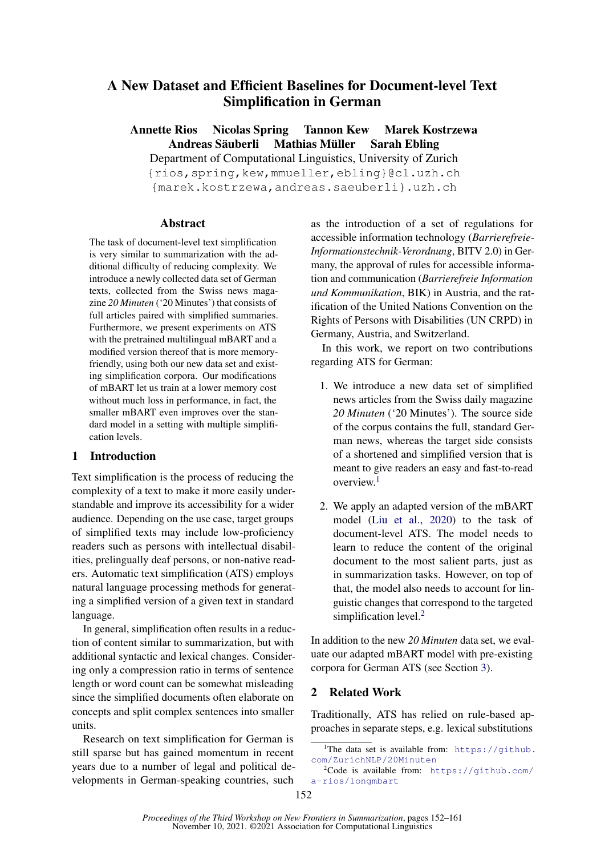# A New Dataset and Efficient Baselines for Document-level Text Simplification in German

Annette Rios Nicolas Spring Tannon Kew Marek Kostrzewa Andreas Säuberli Mathias Müller Sarah Ebling

Department of Computational Linguistics, University of Zurich {rios,spring,kew,mmueller,ebling}@cl.uzh.ch

{marek.kostrzewa,andreas.saeuberli}.uzh.ch

## **Abstract**

The task of document-level text simplification is very similar to summarization with the additional difficulty of reducing complexity. We introduce a newly collected data set of German texts, collected from the Swiss news magazine *20 Minuten* ('20 Minutes') that consists of full articles paired with simplified summaries. Furthermore, we present experiments on ATS with the pretrained multilingual mBART and a modified version thereof that is more memoryfriendly, using both our new data set and existing simplification corpora. Our modifications of mBART let us train at a lower memory cost without much loss in performance, in fact, the smaller mBART even improves over the standard model in a setting with multiple simplification levels.

# 1 Introduction

Text simplification is the process of reducing the complexity of a text to make it more easily understandable and improve its accessibility for a wider audience. Depending on the use case, target groups of simplified texts may include low-proficiency readers such as persons with intellectual disabilities, prelingually deaf persons, or non-native readers. Automatic text simplification (ATS) employs natural language processing methods for generating a simplified version of a given text in standard language.

In general, simplification often results in a reduction of content similar to summarization, but with additional syntactic and lexical changes. Considering only a compression ratio in terms of sentence length or word count can be somewhat misleading since the simplified documents often elaborate on concepts and split complex sentences into smaller units.

Research on text simplification for German is still sparse but has gained momentum in recent years due to a number of legal and political developments in German-speaking countries, such

as the introduction of a set of regulations for accessible information technology (*Barrierefreie-Informationstechnik-Verordnung*, BITV 2.0) in Germany, the approval of rules for accessible information and communication (*Barrierefreie Information und Kommunikation*, BIK) in Austria, and the ratification of the United Nations Convention on the Rights of Persons with Disabilities (UN CRPD) in Germany, Austria, and Switzerland.

In this work, we report on two contributions regarding ATS for German:

- 1. We introduce a new data set of simplified news articles from the Swiss daily magazine *20 Minuten* ('20 Minutes'). The source side of the corpus contains the full, standard German news, whereas the target side consists of a shortened and simplified version that is meant to give readers an easy and fast-to-read overview.[1](#page-0-0)
- 2. We apply an adapted version of the mBART model [\(Liu et al.,](#page-4-0) [2020\)](#page-4-0) to the task of document-level ATS. The model needs to learn to reduce the content of the original document to the most salient parts, just as in summarization tasks. However, on top of that, the model also needs to account for linguistic changes that correspond to the targeted simplification level.<sup>[2](#page-0-1)</sup>

In addition to the new *20 Minuten* data set, we evaluate our adapted mBART model with pre-existing corpora for German ATS (see Section [3\)](#page-1-0).

# 2 Related Work

Traditionally, ATS has relied on rule-based approaches in separate steps, e.g. lexical substitutions

<span id="page-0-0"></span><sup>&</sup>lt;sup>1</sup>The data set is available from:  $https://github.$ [com/ZurichNLP/20Minuten](https://github.com/ZurichNLP/20Minuten)

<span id="page-0-1"></span> $2$ Code is available from: [https://github.com/](https://github.com/a-rios/longmbart) [a-rios/longmbart](https://github.com/a-rios/longmbart)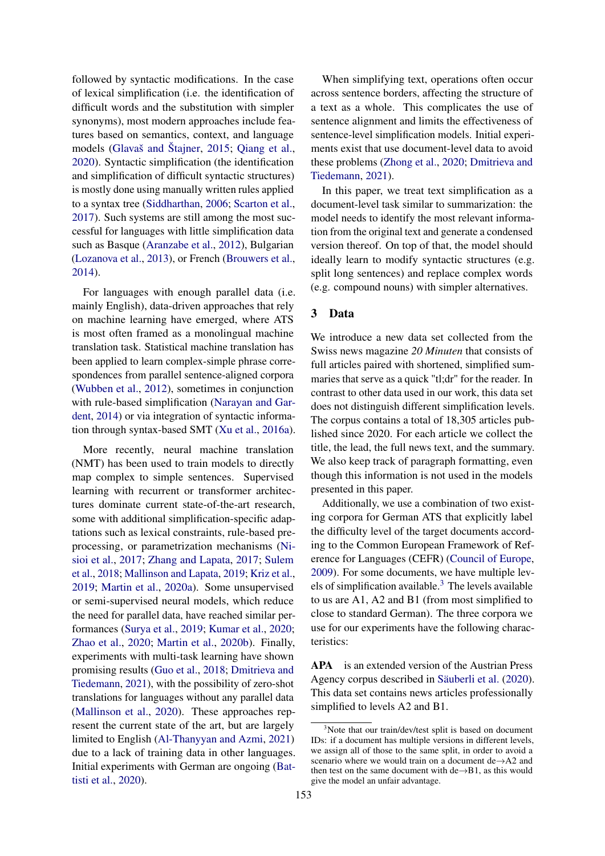followed by syntactic modifications. In the case of lexical simplification (i.e. the identification of difficult words and the substitution with simpler synonyms), most modern approaches include features based on semantics, context, and language models [\(Glavaš and Štajner,](#page-4-1) [2015;](#page-4-1) [Qiang et al.,](#page-5-0) [2020\)](#page-5-0). Syntactic simplification (the identification and simplification of difficult syntactic structures) is mostly done using manually written rules applied to a syntax tree [\(Siddharthan,](#page-5-1) [2006;](#page-5-1) [Scarton et al.,](#page-5-2) [2017\)](#page-5-2). Such systems are still among the most successful for languages with little simplification data such as Basque [\(Aranzabe et al.,](#page-4-2) [2012\)](#page-4-2), Bulgarian [\(Lozanova et al.,](#page-4-3) [2013\)](#page-4-3), or French [\(Brouwers et al.,](#page-4-4) [2014\)](#page-4-4).

For languages with enough parallel data (i.e. mainly English), data-driven approaches that rely on machine learning have emerged, where ATS is most often framed as a monolingual machine translation task. Statistical machine translation has been applied to learn complex-simple phrase correspondences from parallel sentence-aligned corpora [\(Wubben et al.,](#page-5-3) [2012\)](#page-5-3), sometimes in conjunction with rule-based simplification [\(Narayan and Gar](#page-4-5)[dent,](#page-4-5) [2014\)](#page-4-5) or via integration of syntactic information through syntax-based SMT [\(Xu et al.,](#page-5-4) [2016a\)](#page-5-4).

More recently, neural machine translation (NMT) has been used to train models to directly map complex to simple sentences. Supervised learning with recurrent or transformer architectures dominate current state-of-the-art research, some with additional simplification-specific adaptations such as lexical constraints, rule-based preprocessing, or parametrization mechanisms [\(Ni](#page-4-6)[sioi et al.,](#page-4-6) [2017;](#page-4-6) [Zhang and Lapata,](#page-5-5) [2017;](#page-5-5) [Sulem](#page-5-6) [et al.,](#page-5-6) [2018;](#page-5-6) [Mallinson and Lapata,](#page-4-7) [2019;](#page-4-7) [Kriz et al.,](#page-4-8) [2019;](#page-4-8) [Martin et al.,](#page-4-9) [2020a\)](#page-4-9). Some unsupervised or semi-supervised neural models, which reduce the need for parallel data, have reached similar performances [\(Surya et al.,](#page-5-7) [2019;](#page-5-7) [Kumar et al.,](#page-4-10) [2020;](#page-4-10) [Zhao et al.,](#page-5-8) [2020;](#page-5-8) [Martin et al.,](#page-4-11) [2020b\)](#page-4-11). Finally, experiments with multi-task learning have shown promising results [\(Guo et al.,](#page-4-12) [2018;](#page-4-12) [Dmitrieva and](#page-4-13) [Tiedemann,](#page-4-13) [2021\)](#page-4-13), with the possibility of zero-shot translations for languages without any parallel data [\(Mallinson et al.,](#page-4-14) [2020\)](#page-4-14). These approaches represent the current state of the art, but are largely limited to English [\(Al-Thanyyan and Azmi,](#page-4-15) [2021\)](#page-4-15) due to a lack of training data in other languages. Initial experiments with German are ongoing [\(Bat](#page-4-16)[tisti et al.,](#page-4-16) [2020\)](#page-4-16).

When simplifying text, operations often occur across sentence borders, affecting the structure of a text as a whole. This complicates the use of sentence alignment and limits the effectiveness of sentence-level simplification models. Initial experiments exist that use document-level data to avoid these problems [\(Zhong et al.,](#page-5-9) [2020;](#page-5-9) [Dmitrieva and](#page-4-13) [Tiedemann,](#page-4-13) [2021\)](#page-4-13).

In this paper, we treat text simplification as a document-level task similar to summarization: the model needs to identify the most relevant information from the original text and generate a condensed version thereof. On top of that, the model should ideally learn to modify syntactic structures (e.g. split long sentences) and replace complex words (e.g. compound nouns) with simpler alternatives.

## <span id="page-1-0"></span>3 Data

We introduce a new data set collected from the Swiss news magazine *20 Minuten* that consists of full articles paired with shortened, simplified summaries that serve as a quick "tl;dr" for the reader. In contrast to other data used in our work, this data set does not distinguish different simplification levels. The corpus contains a total of 18,305 articles published since 2020. For each article we collect the title, the lead, the full news text, and the summary. We also keep track of paragraph formatting, even though this information is not used in the models presented in this paper.

Additionally, we use a combination of two existing corpora for German ATS that explicitly label the difficulty level of the target documents according to the Common European Framework of Reference for Languages (CEFR) [\(Council of Europe,](#page-4-17) [2009\)](#page-4-17). For some documents, we have multiple lev-els of simplification available.<sup>[3](#page-1-1)</sup> The levels available to us are A1, A2 and B1 (from most simplified to close to standard German). The three corpora we use for our experiments have the following characteristics:

APA is an extended version of the Austrian Press Agency corpus described in [Säuberli et al.](#page-5-10) [\(2020\)](#page-5-10). This data set contains news articles professionally simplified to levels A2 and B1.

<span id="page-1-1"></span><sup>&</sup>lt;sup>3</sup>Note that our train/dev/test split is based on document IDs: if a document has multiple versions in different levels, we assign all of those to the same split, in order to avoid a scenario where we would train on a document de→A2 and then test on the same document with  $de \rightarrow B1$ , as this would give the model an unfair advantage.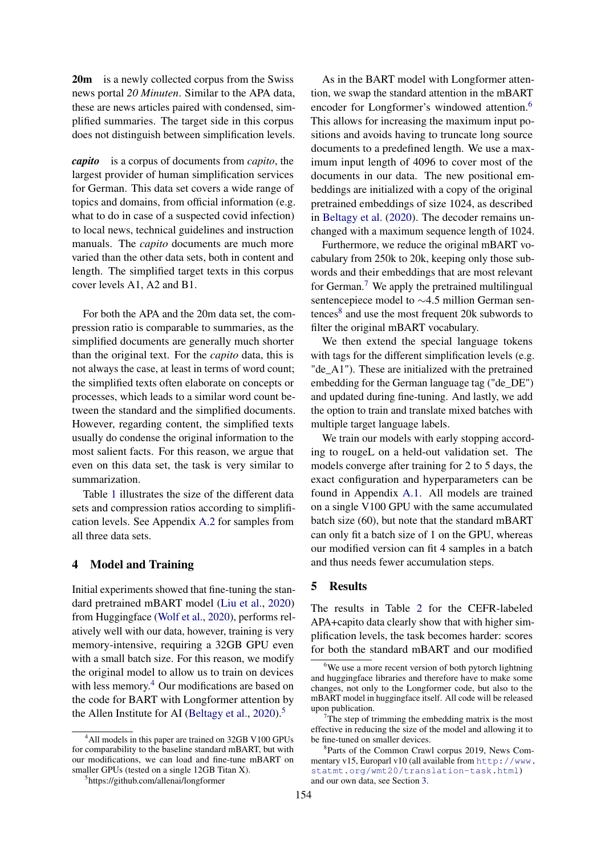20m is a newly collected corpus from the Swiss news portal *20 Minuten*. Similar to the APA data, these are news articles paired with condensed, simplified summaries. The target side in this corpus does not distinguish between simplification levels.

*capito* is a corpus of documents from *capito*, the largest provider of human simplification services for German. This data set covers a wide range of topics and domains, from official information (e.g. what to do in case of a suspected covid infection) to local news, technical guidelines and instruction manuals. The *capito* documents are much more varied than the other data sets, both in content and length. The simplified target texts in this corpus cover levels A1, A2 and B1.

For both the APA and the 20m data set, the compression ratio is comparable to summaries, as the simplified documents are generally much shorter than the original text. For the *capito* data, this is not always the case, at least in terms of word count; the simplified texts often elaborate on concepts or processes, which leads to a similar word count between the standard and the simplified documents. However, regarding content, the simplified texts usually do condense the original information to the most salient facts. For this reason, we argue that even on this data set, the task is very similar to summarization.

Table [1](#page-3-0) illustrates the size of the different data sets and compression ratios according to simplification levels. See Appendix [A.2](#page-6-0) for samples from all three data sets.

### 4 Model and Training

Initial experiments showed that fine-tuning the standard pretrained mBART model [\(Liu et al.,](#page-4-0) [2020\)](#page-4-0) from Huggingface [\(Wolf et al.,](#page-5-11) [2020\)](#page-5-11), performs relatively well with our data, however, training is very memory-intensive, requiring a 32GB GPU even with a small batch size. For this reason, we modify the original model to allow us to train on devices with less memory.<sup>[4](#page-2-0)</sup> Our modifications are based on the code for BART with Longformer attention by the Allen Institute for AI [\(Beltagy et al.,](#page-4-18) [2020\)](#page-4-18).<sup>[5](#page-2-1)</sup>

As in the BART model with Longformer attention, we swap the standard attention in the mBART encoder for Longformer's windowed attention.<sup>[6](#page-2-2)</sup> This allows for increasing the maximum input positions and avoids having to truncate long source documents to a predefined length. We use a maximum input length of 4096 to cover most of the documents in our data. The new positional embeddings are initialized with a copy of the original pretrained embeddings of size 1024, as described in [Beltagy et al.](#page-4-18) [\(2020\)](#page-4-18). The decoder remains unchanged with a maximum sequence length of 1024.

Furthermore, we reduce the original mBART vocabulary from 250k to 20k, keeping only those subwords and their embeddings that are most relevant for German.<sup>[7](#page-2-3)</sup> We apply the pretrained multilingual sentencepiece model to ∼4.5 million German sen-tences<sup>[8](#page-2-4)</sup> and use the most frequent 20k subwords to filter the original mBART vocabulary.

We then extend the special language tokens with tags for the different simplification levels (e.g. "de\_A1"). These are initialized with the pretrained embedding for the German language tag ("de\_DE") and updated during fine-tuning. And lastly, we add the option to train and translate mixed batches with multiple target language labels.

We train our models with early stopping according to rougeL on a held-out validation set. The models converge after training for 2 to 5 days, the exact configuration and hyperparameters can be found in Appendix [A.1.](#page-6-1) All models are trained on a single V100 GPU with the same accumulated batch size (60), but note that the standard mBART can only fit a batch size of 1 on the GPU, whereas our modified version can fit 4 samples in a batch and thus needs fewer accumulation steps.

#### 5 Results

The results in Table [2](#page-3-1) for the CEFR-labeled APA+capito data clearly show that with higher simplification levels, the task becomes harder: scores for both the standard mBART and our modified

<span id="page-2-0"></span><sup>&</sup>lt;sup>4</sup>All models in this paper are trained on 32GB V100 GPUs for comparability to the baseline standard mBART, but with our modifications, we can load and fine-tune mBART on smaller GPUs (tested on a single 12GB Titan X).

<span id="page-2-1"></span><sup>5</sup> https://github.com/allenai/longformer

<span id="page-2-2"></span> $6$ We use a more recent version of both pytorch lightning and huggingface libraries and therefore have to make some changes, not only to the Longformer code, but also to the mBART model in huggingface itself. All code will be released upon publication.

<span id="page-2-3"></span> $T$ The step of trimming the embedding matrix is the most effective in reducing the size of the model and allowing it to be fine-tuned on smaller devices.

<span id="page-2-4"></span><sup>8</sup> Parts of the Common Crawl corpus 2019, News Commentary v15, Europarl v10 (all available from [http://www.](http://www.statmt.org/wmt20/translation-task.html) [statmt.org/wmt20/translation-task.html](http://www.statmt.org/wmt20/translation-task.html)) and our own data, see Section [3.](#page-1-0)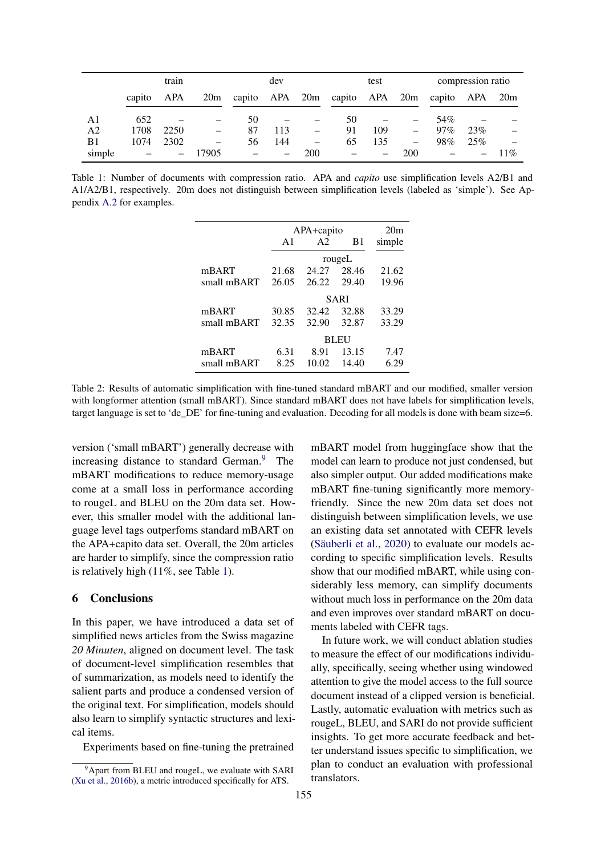<span id="page-3-0"></span>

|                | train  |      |                          | dev                                      |     |     | test |                          |                          | compression ratio |     |        |
|----------------|--------|------|--------------------------|------------------------------------------|-----|-----|------|--------------------------|--------------------------|-------------------|-----|--------|
|                | capito | APA  | 20m                      | capito APA 20m capito APA 20m capito APA |     |     |      |                          |                          |                   |     | 20m    |
| A1             | 652    |      |                          | 50                                       |     |     | 50   |                          | $\qquad \qquad -$        | 54%               |     |        |
| A <sub>2</sub> | 1708   | 2250 | $\overline{\phantom{0}}$ | 87                                       | 113 |     | 91   | 109                      | $\overline{\phantom{0}}$ | 97%               | 23% |        |
| B1             | 1074   | 2302 | $\equiv$                 | 56                                       | 144 |     | 65   | 135                      | $\overline{\phantom{0}}$ | 98%               | 25% |        |
| simple         |        |      | 17905                    |                                          |     | 200 |      | $\overline{\phantom{m}}$ | 200                      |                   |     | $11\%$ |

<span id="page-3-1"></span>Table 1: Number of documents with compression ratio. APA and *capito* use simplification levels A2/B1 and A1/A2/B1, respectively. 20m does not distinguish between simplification levels (labeled as 'simple'). See Appendix [A.2](#page-6-0) for examples.

|             |               | APA+capito     |        |        |  |
|-------------|---------------|----------------|--------|--------|--|
|             | $\mathsf{A}1$ | A <sub>2</sub> | B1     | simple |  |
|             |               | rougeL         |        |        |  |
| mBART       | 21.68         | 24.27          | -28.46 | 21.62  |  |
| small mBART | 26.05         | 26.22          | 29.40  | 19.96  |  |
|             | SARI          |                |        |        |  |
| mBART       | 30.85         | 32.42          | 32.88  | 33.29  |  |
| small mBART | 32.35         | 32.90          | 32.87  | 33.29  |  |
|             |               | BLEU           |        |        |  |
| mBART       | 6.31          | 8.91           | 13.15  | 7.47   |  |
| small mBART | 8.25          | 10.02          | 14.40  | 6.29   |  |

Table 2: Results of automatic simplification with fine-tuned standard mBART and our modified, smaller version with longformer attention (small mBART). Since standard mBART does not have labels for simplification levels, target language is set to 'de\_DE' for fine-tuning and evaluation. Decoding for all models is done with beam size=6.

version ('small mBART') generally decrease with increasing distance to standard German.<sup>[9](#page-3-2)</sup> The mBART modifications to reduce memory-usage come at a small loss in performance according to rougeL and BLEU on the 20m data set. However, this smaller model with the additional language level tags outperfoms standard mBART on the APA+capito data set. Overall, the 20m articles are harder to simplify, since the compression ratio is relatively high (11%, see Table [1\)](#page-3-0).

### 6 Conclusions

In this paper, we have introduced a data set of simplified news articles from the Swiss magazine *20 Minuten*, aligned on document level. The task of document-level simplification resembles that of summarization, as models need to identify the salient parts and produce a condensed version of the original text. For simplification, models should also learn to simplify syntactic structures and lexical items.

Experiments based on fine-tuning the pretrained

mBART model from huggingface show that the model can learn to produce not just condensed, but also simpler output. Our added modifications make mBART fine-tuning significantly more memoryfriendly. Since the new 20m data set does not distinguish between simplification levels, we use an existing data set annotated with CEFR levels [\(Säuberli et al.,](#page-5-10) [2020\)](#page-5-10) to evaluate our models according to specific simplification levels. Results show that our modified mBART, while using considerably less memory, can simplify documents without much loss in performance on the 20m data and even improves over standard mBART on documents labeled with CEFR tags.

In future work, we will conduct ablation studies to measure the effect of our modifications individually, specifically, seeing whether using windowed attention to give the model access to the full source document instead of a clipped version is beneficial. Lastly, automatic evaluation with metrics such as rougeL, BLEU, and SARI do not provide sufficient insights. To get more accurate feedback and better understand issues specific to simplification, we plan to conduct an evaluation with professional translators.

<span id="page-3-2"></span> $9^9$ Apart from BLEU and rougeL, we evaluate with SARI [\(Xu et al.,](#page-5-12) [2016b\)](#page-5-12), a metric introduced specifically for ATS.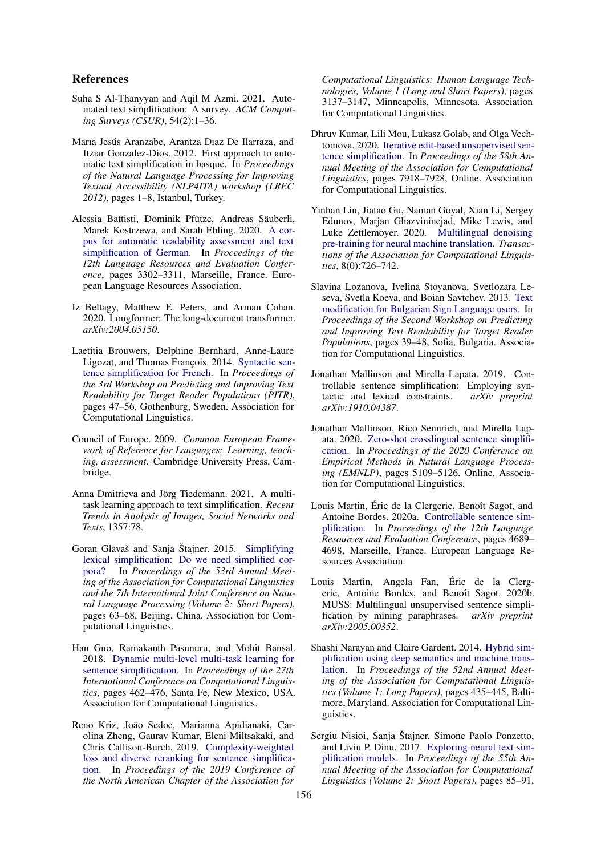### References

- <span id="page-4-15"></span>Suha S Al-Thanyyan and Aqil M Azmi. 2021. Automated text simplification: A survey. *ACM Computing Surveys (CSUR)*, 54(2):1–36.
- <span id="page-4-2"></span>Marıa Jesús Aranzabe, Arantza Dıaz De Ilarraza, and Itziar Gonzalez-Dios. 2012. First approach to automatic text simplification in basque. In *Proceedings of the Natural Language Processing for Improving Textual Accessibility (NLP4ITA) workshop (LREC 2012)*, pages 1–8, Istanbul, Turkey.
- <span id="page-4-16"></span>Alessia Battisti, Dominik Pfütze, Andreas Säuberli, Marek Kostrzewa, and Sarah Ebling. 2020. [A cor](https://aclanthology.org/2020.lrec-1.404)[pus for automatic readability assessment and text](https://aclanthology.org/2020.lrec-1.404) [simplification of German.](https://aclanthology.org/2020.lrec-1.404) In *Proceedings of the 12th Language Resources and Evaluation Conference*, pages 3302–3311, Marseille, France. European Language Resources Association.
- <span id="page-4-18"></span>Iz Beltagy, Matthew E. Peters, and Arman Cohan. 2020. Longformer: The long-document transformer. *arXiv:2004.05150*.
- <span id="page-4-4"></span>Laetitia Brouwers, Delphine Bernhard, Anne-Laure Ligozat, and Thomas François. 2014. [Syntactic sen](https://doi.org/10.3115/v1/W14-1206)[tence simplification for French.](https://doi.org/10.3115/v1/W14-1206) In *Proceedings of the 3rd Workshop on Predicting and Improving Text Readability for Target Reader Populations (PITR)*, pages 47–56, Gothenburg, Sweden. Association for Computational Linguistics.
- <span id="page-4-17"></span>Council of Europe. 2009. *Common European Framework of Reference for Languages: Learning, teaching, assessment*. Cambridge University Press, Cambridge.
- <span id="page-4-13"></span>Anna Dmitrieva and Jörg Tiedemann. 2021. A multitask learning approach to text simplification. *Recent Trends in Analysis of Images, Social Networks and Texts*, 1357:78.
- <span id="page-4-1"></span>Goran Glavaš and Sanja Štajner. 2015. [Simplifying](https://doi.org/10.3115/v1/P15-2011) [lexical simplification: Do we need simplified cor](https://doi.org/10.3115/v1/P15-2011)[pora?](https://doi.org/10.3115/v1/P15-2011) In *Proceedings of the 53rd Annual Meeting of the Association for Computational Linguistics and the 7th International Joint Conference on Natural Language Processing (Volume 2: Short Papers)*, pages 63–68, Beijing, China. Association for Computational Linguistics.
- <span id="page-4-12"></span>Han Guo, Ramakanth Pasunuru, and Mohit Bansal. 2018. [Dynamic multi-level multi-task learning for](https://aclanthology.org/C18-1039) [sentence simplification.](https://aclanthology.org/C18-1039) In *Proceedings of the 27th International Conference on Computational Linguistics*, pages 462–476, Santa Fe, New Mexico, USA. Association for Computational Linguistics.
- <span id="page-4-8"></span>Reno Kriz, João Sedoc, Marianna Apidianaki, Carolina Zheng, Gaurav Kumar, Eleni Miltsakaki, and Chris Callison-Burch. 2019. [Complexity-weighted](https://doi.org/10.18653/v1/N19-1317) [loss and diverse reranking for sentence simplifica](https://doi.org/10.18653/v1/N19-1317)[tion.](https://doi.org/10.18653/v1/N19-1317) In *Proceedings of the 2019 Conference of the North American Chapter of the Association for*

*Computational Linguistics: Human Language Technologies, Volume 1 (Long and Short Papers)*, pages 3137–3147, Minneapolis, Minnesota. Association for Computational Linguistics.

- <span id="page-4-10"></span>Dhruv Kumar, Lili Mou, Lukasz Golab, and Olga Vechtomova. 2020. [Iterative edit-based unsupervised sen](https://doi.org/10.18653/v1/2020.acl-main.707)[tence simplification.](https://doi.org/10.18653/v1/2020.acl-main.707) In *Proceedings of the 58th Annual Meeting of the Association for Computational Linguistics*, pages 7918–7928, Online. Association for Computational Linguistics.
- <span id="page-4-0"></span>Yinhan Liu, Jiatao Gu, Naman Goyal, Xian Li, Sergey Edunov, Marjan Ghazvininejad, Mike Lewis, and Luke Zettlemoyer. 2020. [Multilingual denoising](https://transacl.org/ojs/index.php/tacl/article/view/2107) [pre-training for neural machine translation.](https://transacl.org/ojs/index.php/tacl/article/view/2107) *Transactions of the Association for Computational Linguistics*, 8(0):726–742.
- <span id="page-4-3"></span>Slavina Lozanova, Ivelina Stoyanova, Svetlozara Leseva, Svetla Koeva, and Boian Savtchev. 2013. [Text](https://aclanthology.org/W13-2905) [modification for Bulgarian Sign Language users.](https://aclanthology.org/W13-2905) In *Proceedings of the Second Workshop on Predicting and Improving Text Readability for Target Reader Populations*, pages 39–48, Sofia, Bulgaria. Association for Computational Linguistics.
- <span id="page-4-7"></span>Jonathan Mallinson and Mirella Lapata. 2019. Controllable sentence simplification: Employing syntactic and lexical constraints.  $arXiv$  preprint tactic and lexical constraints. *arXiv:1910.04387*.
- <span id="page-4-14"></span>Jonathan Mallinson, Rico Sennrich, and Mirella Lapata. 2020. [Zero-shot crosslingual sentence simplifi](https://doi.org/10.18653/v1/2020.emnlp-main.415)[cation.](https://doi.org/10.18653/v1/2020.emnlp-main.415) In *Proceedings of the 2020 Conference on Empirical Methods in Natural Language Processing (EMNLP)*, pages 5109–5126, Online. Association for Computational Linguistics.
- <span id="page-4-9"></span>Louis Martin, Éric de la Clergerie, Benoît Sagot, and Antoine Bordes. 2020a. [Controllable sentence sim](https://aclanthology.org/2020.lrec-1.577)[plification.](https://aclanthology.org/2020.lrec-1.577) In *Proceedings of the 12th Language Resources and Evaluation Conference*, pages 4689– 4698, Marseille, France. European Language Resources Association.
- <span id="page-4-11"></span>Louis Martin, Angela Fan, Éric de la Clergerie, Antoine Bordes, and Benoît Sagot. 2020b. MUSS: Multilingual unsupervised sentence simplification by mining paraphrases. *arXiv preprint arXiv:2005.00352*.
- <span id="page-4-5"></span>Shashi Narayan and Claire Gardent. 2014. [Hybrid sim](https://doi.org/10.3115/v1/P14-1041)[plification using deep semantics and machine trans](https://doi.org/10.3115/v1/P14-1041)[lation.](https://doi.org/10.3115/v1/P14-1041) In *Proceedings of the 52nd Annual Meeting of the Association for Computational Linguistics (Volume 1: Long Papers)*, pages 435–445, Baltimore, Maryland. Association for Computational Linguistics.
- <span id="page-4-6"></span>Sergiu Nisioi, Sanja Štajner, Simone Paolo Ponzetto, and Liviu P. Dinu. 2017. [Exploring neural text sim](https://doi.org/10.18653/v1/P17-2014)[plification models.](https://doi.org/10.18653/v1/P17-2014) In *Proceedings of the 55th Annual Meeting of the Association for Computational Linguistics (Volume 2: Short Papers)*, pages 85–91,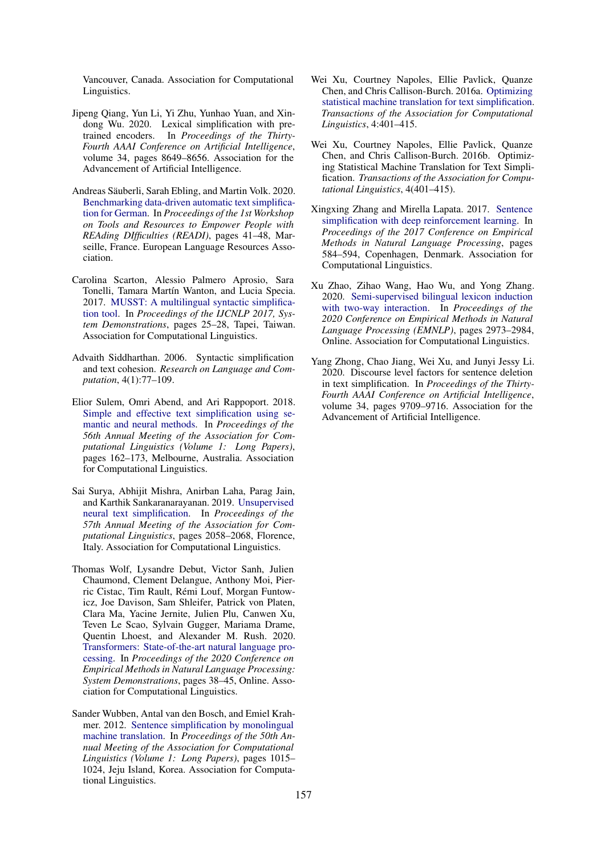Vancouver, Canada. Association for Computational Linguistics.

- <span id="page-5-0"></span>Jipeng Qiang, Yun Li, Yi Zhu, Yunhao Yuan, and Xindong Wu. 2020. Lexical simplification with pretrained encoders. In *Proceedings of the Thirty-Fourth AAAI Conference on Artificial Intelligence*, volume 34, pages 8649–8656. Association for the Advancement of Artificial Intelligence.
- <span id="page-5-10"></span>Andreas Säuberli, Sarah Ebling, and Martin Volk. 2020. [Benchmarking data-driven automatic text simplifica](https://www.aclweb.org/anthology/2020.readi-1.7)[tion for German.](https://www.aclweb.org/anthology/2020.readi-1.7) In *Proceedings of the 1st Workshop on Tools and Resources to Empower People with REAding DIfficulties (READI)*, pages 41–48, Marseille, France. European Language Resources Association.
- <span id="page-5-2"></span>Carolina Scarton, Alessio Palmero Aprosio, Sara Tonelli, Tamara Martín Wanton, and Lucia Specia. 2017. [MUSST: A multilingual syntactic simplifica](https://aclanthology.org/I17-3007)[tion tool.](https://aclanthology.org/I17-3007) In *Proceedings of the IJCNLP 2017, System Demonstrations*, pages 25–28, Tapei, Taiwan. Association for Computational Linguistics.
- <span id="page-5-1"></span>Advaith Siddharthan. 2006. Syntactic simplification and text cohesion. *Research on Language and Computation*, 4(1):77–109.
- <span id="page-5-6"></span>Elior Sulem, Omri Abend, and Ari Rappoport. 2018. [Simple and effective text simplification using se](https://doi.org/10.18653/v1/P18-1016)[mantic and neural methods.](https://doi.org/10.18653/v1/P18-1016) In *Proceedings of the 56th Annual Meeting of the Association for Computational Linguistics (Volume 1: Long Papers)*, pages 162–173, Melbourne, Australia. Association for Computational Linguistics.
- <span id="page-5-7"></span>Sai Surya, Abhijit Mishra, Anirban Laha, Parag Jain, and Karthik Sankaranarayanan. 2019. [Unsupervised](https://doi.org/10.18653/v1/P19-1198) [neural text simplification.](https://doi.org/10.18653/v1/P19-1198) In *Proceedings of the 57th Annual Meeting of the Association for Computational Linguistics*, pages 2058–2068, Florence, Italy. Association for Computational Linguistics.
- <span id="page-5-11"></span>Thomas Wolf, Lysandre Debut, Victor Sanh, Julien Chaumond, Clement Delangue, Anthony Moi, Pierric Cistac, Tim Rault, Rémi Louf, Morgan Funtowicz, Joe Davison, Sam Shleifer, Patrick von Platen, Clara Ma, Yacine Jernite, Julien Plu, Canwen Xu, Teven Le Scao, Sylvain Gugger, Mariama Drame, Quentin Lhoest, and Alexander M. Rush. 2020. [Transformers: State-of-the-art natural language pro](https://www.aclweb.org/anthology/2020.emnlp-demos.6)[cessing.](https://www.aclweb.org/anthology/2020.emnlp-demos.6) In *Proceedings of the 2020 Conference on Empirical Methods in Natural Language Processing: System Demonstrations*, pages 38–45, Online. Association for Computational Linguistics.
- <span id="page-5-3"></span>Sander Wubben, Antal van den Bosch, and Emiel Krahmer. 2012. [Sentence simplification by monolingual](https://aclanthology.org/P12-1107) [machine translation.](https://aclanthology.org/P12-1107) In *Proceedings of the 50th Annual Meeting of the Association for Computational Linguistics (Volume 1: Long Papers)*, pages 1015– 1024, Jeju Island, Korea. Association for Computational Linguistics.
- <span id="page-5-4"></span>Wei Xu, Courtney Napoles, Ellie Pavlick, Quanze Chen, and Chris Callison-Burch. 2016a. [Optimizing](https://doi.org/10.1162/tacl_a_00107) [statistical machine translation for text simplification.](https://doi.org/10.1162/tacl_a_00107) *Transactions of the Association for Computational Linguistics*, 4:401–415.
- <span id="page-5-12"></span>Wei Xu, Courtney Napoles, Ellie Pavlick, Quanze Chen, and Chris Callison-Burch. 2016b. Optimizing Statistical Machine Translation for Text Simplification. *Transactions of the Association for Computational Linguistics*, 4(401–415).
- <span id="page-5-5"></span>Xingxing Zhang and Mirella Lapata. 2017. [Sentence](https://doi.org/10.18653/v1/D17-1062) [simplification with deep reinforcement learning.](https://doi.org/10.18653/v1/D17-1062) In *Proceedings of the 2017 Conference on Empirical Methods in Natural Language Processing*, pages 584–594, Copenhagen, Denmark. Association for Computational Linguistics.
- <span id="page-5-8"></span>Xu Zhao, Zihao Wang, Hao Wu, and Yong Zhang. 2020. [Semi-supervised bilingual lexicon induction](https://doi.org/10.18653/v1/2020.emnlp-main.238) [with two-way interaction.](https://doi.org/10.18653/v1/2020.emnlp-main.238) In *Proceedings of the 2020 Conference on Empirical Methods in Natural Language Processing (EMNLP)*, pages 2973–2984, Online. Association for Computational Linguistics.
- <span id="page-5-9"></span>Yang Zhong, Chao Jiang, Wei Xu, and Junyi Jessy Li. 2020. Discourse level factors for sentence deletion in text simplification. In *Proceedings of the Thirty-Fourth AAAI Conference on Artificial Intelligence*, volume 34, pages 9709–9716. Association for the Advancement of Artificial Intelligence.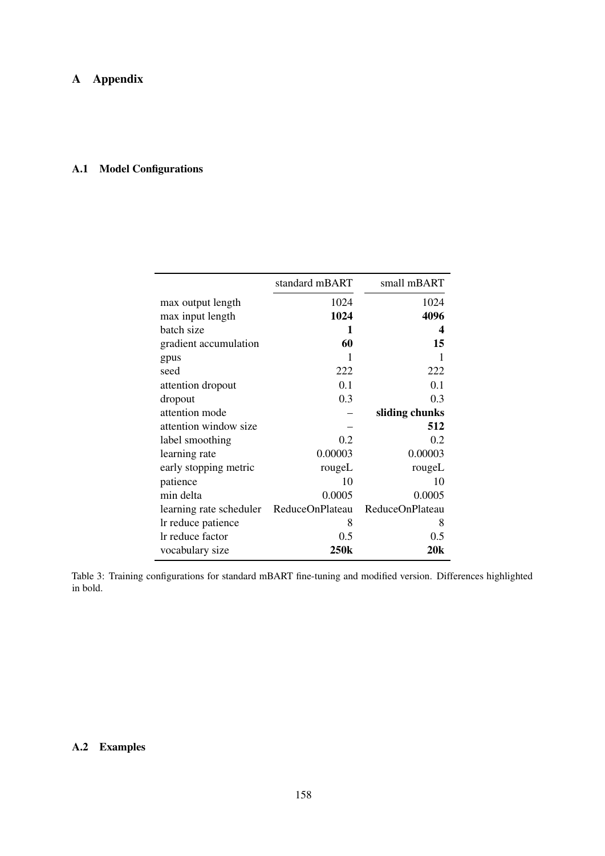# <span id="page-6-1"></span>A.1 Model Configurations

|                         | standard mBART  | small mBART     |
|-------------------------|-----------------|-----------------|
| max output length       | 1024            | 1024            |
| max input length        | 1024            | 4096            |
| batch size              | 1               | 4               |
| gradient accumulation   | 60              | 15              |
| gpus                    |                 | 1               |
| seed                    | 222             | 222             |
| attention dropout       | 0.1             | 0.1             |
| dropout                 | 0.3             | 0.3             |
| attention mode          |                 | sliding chunks  |
| attention window size   |                 | 512             |
| label smoothing         | 0.2             | 0.2             |
| learning rate           | 0.00003         | 0.00003         |
| early stopping metric   | rougeL          | rougeL          |
| patience                | 10              | 10              |
| min delta               | 0.0005          | 0.0005          |
| learning rate scheduler | ReduceOnPlateau | ReduceOnPlateau |
| Ir reduce patience      | 8               | 8               |
| Ir reduce factor        | 0.5             | 0.5             |
| vocabulary size         | 250k            | 20k             |

Table 3: Training configurations for standard mBART fine-tuning and modified version. Differences highlighted in bold.

# <span id="page-6-0"></span>A.2 Examples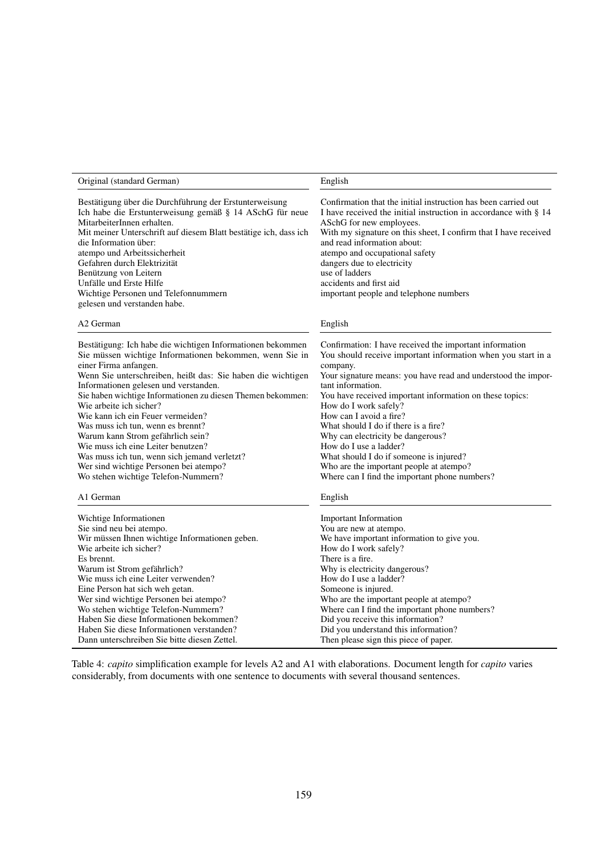| Original (standard German)                                                                                                                                                                                                                                                                                                                                                                                                                                                                                                                                                                                                             | English                                                                                                                                                                                                                                                                                                                                                                                                                                                                                                                                                                                 |
|----------------------------------------------------------------------------------------------------------------------------------------------------------------------------------------------------------------------------------------------------------------------------------------------------------------------------------------------------------------------------------------------------------------------------------------------------------------------------------------------------------------------------------------------------------------------------------------------------------------------------------------|-----------------------------------------------------------------------------------------------------------------------------------------------------------------------------------------------------------------------------------------------------------------------------------------------------------------------------------------------------------------------------------------------------------------------------------------------------------------------------------------------------------------------------------------------------------------------------------------|
| Bestätigung über die Durchführung der Erstunterweisung<br>Ich habe die Erstunterweisung gemäß § 14 ASchG für neue<br>MitarbeiterInnen erhalten.<br>Mit meiner Unterschrift auf diesem Blatt bestätige ich, dass ich<br>die Information über:<br>atempo und Arbeitssicherheit<br>Gefahren durch Elektrizität<br>Benützung von Leitern<br>Unfälle und Erste Hilfe<br>Wichtige Personen und Telefonnummern<br>gelesen und verstanden habe.                                                                                                                                                                                                | Confirmation that the initial instruction has been carried out<br>I have received the initial instruction in accordance with § 14<br>ASchG for new employees.<br>With my signature on this sheet, I confirm that I have received<br>and read information about:<br>atempo and occupational safety<br>dangers due to electricity<br>use of ladders<br>accidents and first aid<br>important people and telephone numbers                                                                                                                                                                  |
| A2 German                                                                                                                                                                                                                                                                                                                                                                                                                                                                                                                                                                                                                              | English                                                                                                                                                                                                                                                                                                                                                                                                                                                                                                                                                                                 |
| Bestätigung: Ich habe die wichtigen Informationen bekommen<br>Sie müssen wichtige Informationen bekommen, wenn Sie in<br>einer Firma anfangen.<br>Wenn Sie unterschreiben, heißt das: Sie haben die wichtigen<br>Informationen gelesen und verstanden.<br>Sie haben wichtige Informationen zu diesen Themen bekommen:<br>Wie arbeite ich sicher?<br>Wie kann ich ein Feuer vermeiden?<br>Was muss ich tun, wenn es brennt?<br>Warum kann Strom gefährlich sein?<br>Wie muss ich eine Leiter benutzen?<br>Was muss ich tun, wenn sich jemand verletzt?<br>Wer sind wichtige Personen bei atempo?<br>Wo stehen wichtige Telefon-Nummern? | Confirmation: I have received the important information<br>You should receive important information when you start in a<br>company.<br>Your signature means: you have read and understood the impor-<br>tant information.<br>You have received important information on these topics:<br>How do I work safely?<br>How can I avoid a fire?<br>What should I do if there is a fire?<br>Why can electricity be dangerous?<br>How do I use a ladder?<br>What should I do if someone is injured?<br>Who are the important people at atempo?<br>Where can I find the important phone numbers? |
| A1 German                                                                                                                                                                                                                                                                                                                                                                                                                                                                                                                                                                                                                              | English                                                                                                                                                                                                                                                                                                                                                                                                                                                                                                                                                                                 |
| Wichtige Informationen<br>Sie sind neu bei atempo.<br>Wir müssen Ihnen wichtige Informationen geben.<br>Wie arbeite ich sicher?<br>Es brennt.<br>Warum ist Strom gefährlich?<br>Wie muss ich eine Leiter verwenden?<br>Eine Person hat sich weh getan.<br>Wer sind wichtige Personen bei atempo?<br>Wo stehen wichtige Telefon-Nummern?<br>Haben Sie diese Informationen bekommen?<br>Haben Sie diese Informationen verstanden?<br>Dann unterschreiben Sie bitte diesen Zettel.                                                                                                                                                        | <b>Important Information</b><br>You are new at atempo.<br>We have important information to give you.<br>How do I work safely?<br>There is a fire.<br>Why is electricity dangerous?<br>How do I use a ladder?<br>Someone is injured.<br>Who are the important people at atempo?<br>Where can I find the important phone numbers?<br>Did you receive this information?<br>Did you understand this information?<br>Then please sign this piece of paper.                                                                                                                                   |

Table 4: *capito* simplification example for levels A2 and A1 with elaborations. Document length for *capito* varies considerably, from documents with one sentence to documents with several thousand sentences.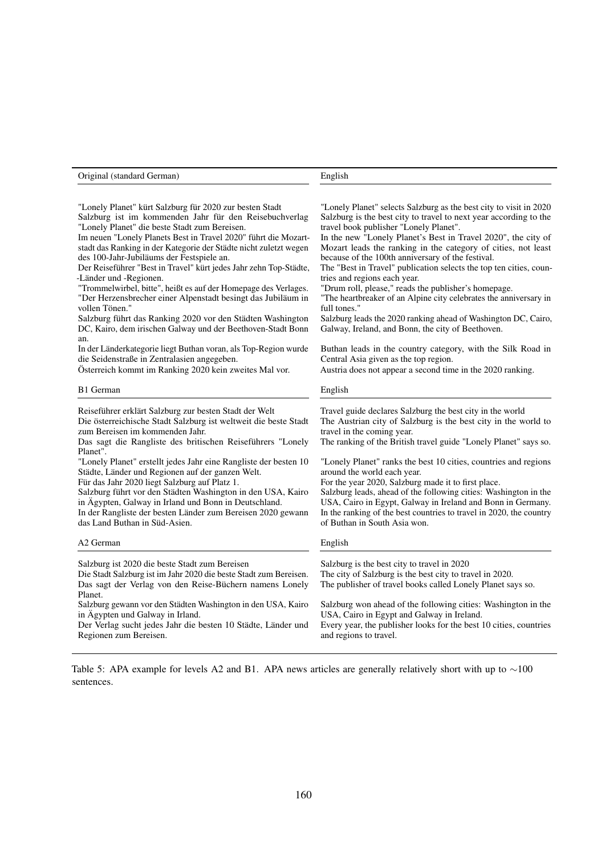| "Lonely Planet" kürt Salzburg für 2020 zur besten Stadt<br>Salzburg ist im kommenden Jahr für den Reisebuchverlag<br>"Lonely Planet" die beste Stadt zum Bereisen.<br>Im neuen "Lonely Planets Best in Travel 2020" führt die Mozart-<br>stadt das Ranking in der Kategorie der Städte nicht zuletzt wegen<br>des 100-Jahr-Jubiläums der Festspiele an.<br>Der Reiseführer "Best in Travel" kürt jedes Jahr zehn Top-Städte,<br>-Länder und -Regionen.<br>"Trommelwirbel, bitte", heißt es auf der Homepage des Verlages.<br>"Der Herzensbrecher einer Alpenstadt besingt das Jubiläum in<br>vollen Tönen."<br>Salzburg führt das Ranking 2020 vor den Städten Washington<br>DC, Kairo, dem irischen Galway und der Beethoven-Stadt Bonn<br>an.<br>In der Länderkategorie liegt Buthan voran, als Top-Region wurde<br>die Seidenstraße in Zentralasien angegeben.<br>Österreich kommt im Ranking 2020 kein zweites Mal vor. | "Lonely Planet" selects Salzburg as the best city to visit in 2020<br>Salzburg is the best city to travel to next year according to the<br>travel book publisher "Lonely Planet".<br>In the new "Lonely Planet's Best in Travel 2020", the city of<br>Mozart leads the ranking in the category of cities, not least<br>because of the 100th anniversary of the festival.<br>The "Best in Travel" publication selects the top ten cities, coun-<br>tries and regions each year.<br>"Drum roll, please," reads the publisher's homepage.<br>"The heartbreaker of an Alpine city celebrates the anniversary in<br>full tones."<br>Salzburg leads the 2020 ranking ahead of Washington DC, Cairo,<br>Galway, Ireland, and Bonn, the city of Beethoven.<br>Buthan leads in the country category, with the Silk Road in<br>Central Asia given as the top region.<br>Austria does not appear a second time in the 2020 ranking. |
|-----------------------------------------------------------------------------------------------------------------------------------------------------------------------------------------------------------------------------------------------------------------------------------------------------------------------------------------------------------------------------------------------------------------------------------------------------------------------------------------------------------------------------------------------------------------------------------------------------------------------------------------------------------------------------------------------------------------------------------------------------------------------------------------------------------------------------------------------------------------------------------------------------------------------------|--------------------------------------------------------------------------------------------------------------------------------------------------------------------------------------------------------------------------------------------------------------------------------------------------------------------------------------------------------------------------------------------------------------------------------------------------------------------------------------------------------------------------------------------------------------------------------------------------------------------------------------------------------------------------------------------------------------------------------------------------------------------------------------------------------------------------------------------------------------------------------------------------------------------------|
| B1 German                                                                                                                                                                                                                                                                                                                                                                                                                                                                                                                                                                                                                                                                                                                                                                                                                                                                                                                   | English                                                                                                                                                                                                                                                                                                                                                                                                                                                                                                                                                                                                                                                                                                                                                                                                                                                                                                                  |
| Reiseführer erklärt Salzburg zur besten Stadt der Welt<br>Die österreichische Stadt Salzburg ist weltweit die beste Stadt<br>zum Bereisen im kommenden Jahr.<br>Das sagt die Rangliste des britischen Reiseführers "Lonely<br>Planet".<br>"Lonely Planet" erstellt jedes Jahr eine Rangliste der besten 10<br>Städte, Länder und Regionen auf der ganzen Welt.<br>Für das Jahr 2020 liegt Salzburg auf Platz 1.<br>Salzburg führt vor den Städten Washington in den USA, Kairo<br>in Ägypten, Galway in Irland und Bonn in Deutschland.<br>In der Rangliste der besten Länder zum Bereisen 2020 gewann<br>das Land Buthan in Süd-Asien.                                                                                                                                                                                                                                                                                     | Travel guide declares Salzburg the best city in the world<br>The Austrian city of Salzburg is the best city in the world to<br>travel in the coming year.<br>The ranking of the British travel guide "Lonely Planet" says so.<br>"Lonely Planet" ranks the best 10 cities, countries and regions<br>around the world each year.<br>For the year 2020, Salzburg made it to first place.<br>Salzburg leads, ahead of the following cities: Washington in the<br>USA, Cairo in Egypt, Galway in Ireland and Bonn in Germany.<br>In the ranking of the best countries to travel in 2020, the country<br>of Buthan in South Asia won.                                                                                                                                                                                                                                                                                         |
| A2 German                                                                                                                                                                                                                                                                                                                                                                                                                                                                                                                                                                                                                                                                                                                                                                                                                                                                                                                   | English                                                                                                                                                                                                                                                                                                                                                                                                                                                                                                                                                                                                                                                                                                                                                                                                                                                                                                                  |
| Salzburg ist 2020 die beste Stadt zum Bereisen<br>Die Stadt Salzburg ist im Jahr 2020 die beste Stadt zum Bereisen.<br>Das sagt der Verlag von den Reise-Büchern namens Lonely<br>Planet.<br>Salzburg gewann vor den Städten Washington in den USA, Kairo<br>in Ägypten und Galway in Irland.<br>Der Verlag sucht jedes Jahr die besten 10 Städte, Länder und<br>Regionen zum Bereisen.                                                                                                                                                                                                                                                                                                                                                                                                                                                                                                                                     | Salzburg is the best city to travel in 2020<br>The city of Salzburg is the best city to travel in 2020.<br>The publisher of travel books called Lonely Planet says so.<br>Salzburg won ahead of the following cities: Washington in the<br>USA, Cairo in Egypt and Galway in Ireland.<br>Every year, the publisher looks for the best 10 cities, countries<br>and regions to travel.                                                                                                                                                                                                                                                                                                                                                                                                                                                                                                                                     |

Original (standard German) English

Table 5: APA example for levels A2 and B1. APA news articles are generally relatively short with up to ∼100 sentences.